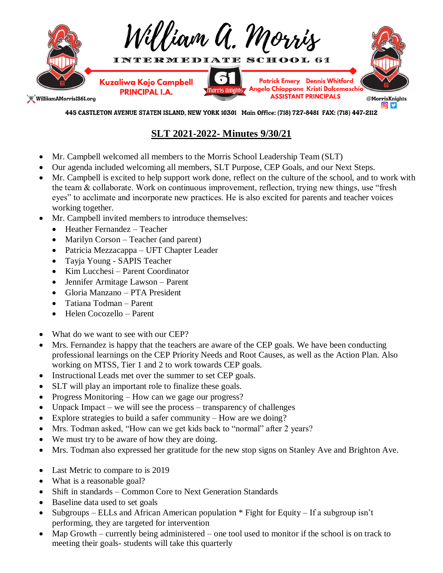

445 CASTLETON AVENUE STATEN ISLAND, NEW YORK 10301 Main Office: (718) 727-8481 FAX: (718) 447-2112

## **SLT 2021-2022- Minutes 9/30/21**

- Mr. Campbell welcomed all members to the Morris School Leadership Team (SLT)
- Our agenda included welcoming all members, SLT Purpose, CEP Goals, and our Next Steps.
- Mr. Campbell is excited to help support work done, reflect on the culture of the school, and to work with the team & collaborate. Work on continuous improvement, reflection, trying new things, use "fresh eyes" to acclimate and incorporate new practices. He is also excited for parents and teacher voices working together.
- Mr. Campbell invited members to introduce themselves:
	- Heather Fernandez Teacher
	- Marilyn Corson Teacher (and parent)
	- Patricia Mezzacappa UFT Chapter Leader
	- Tayja Young SAPIS Teacher
	- Kim Lucchesi Parent Coordinator
	- Jennifer Armitage Lawson Parent
	- Gloria Manzano PTA President
	- Tatiana Todman Parent
	- Helen Cocozello Parent
- What do we want to see with our CEP?
- Mrs. Fernandez is happy that the teachers are aware of the CEP goals. We have been conducting professional learnings on the CEP Priority Needs and Root Causes, as well as the Action Plan. Also working on MTSS, Tier 1 and 2 to work towards CEP goals.
- Instructional Leads met over the summer to set CEP goals.
- SLT will play an important role to finalize these goals.
- Progress Monitoring How can we gage our progress?
- Unpack Impact we will see the process transparency of challenges
- Explore strategies to build a safer community How are we doing?
- Mrs. Todman asked, "How can we get kids back to "normal" after 2 years?
- We must try to be aware of how they are doing.
- Mrs. Todman also expressed her gratitude for the new stop signs on Stanley Ave and Brighton Ave.
- Last Metric to compare to is 2019
- What is a reasonable goal?
- Shift in standards Common Core to Next Generation Standards
- Baseline data used to set goals
- Subgroups ELLs and African American population \* Fight for Equity If a subgroup isn't performing, they are targeted for intervention
- Map Growth currently being administered one tool used to monitor if the school is on track to meeting their goals- students will take this quarterly